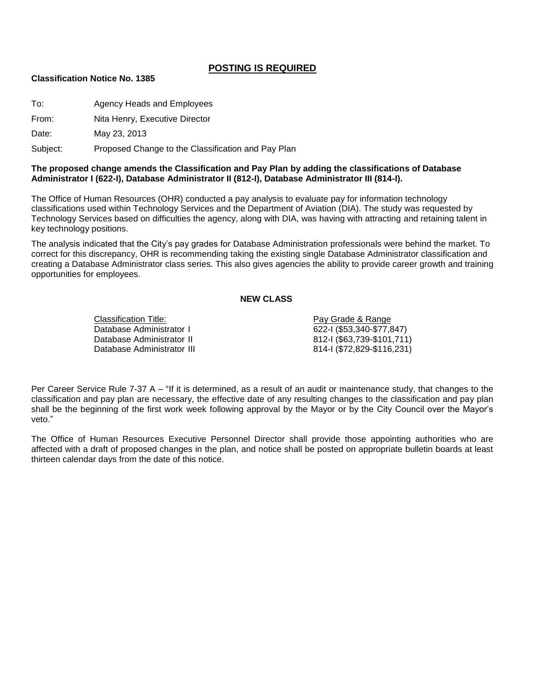# **POSTING IS REQUIRED**

#### **Classification Notice No. 1385**

To: Agency Heads and Employees

From: Nita Henry, Executive Director

Date: May 23, 2013

Subject: Proposed Change to the Classification and Pay Plan

### **The proposed change amends the Classification and Pay Plan by adding the classifications of Database Administrator I (622-I), Database Administrator II (812-I), Database Administrator III (814-I).**

The Office of Human Resources (OHR) conducted a pay analysis to evaluate pay for information technology classifications used within Technology Services and the Department of Aviation (DIA). The study was requested by Technology Services based on difficulties the agency, along with DIA, was having with attracting and retaining talent in key technology positions.

The analysis indicated that the City's pay grades for Database Administration professionals were behind the market. To correct for this discrepancy, OHR is recommending taking the existing single Database Administrator classification and creating a Database Administrator class series. This also gives agencies the ability to provide career growth and training opportunities for employees.

### **NEW CLASS**

Classification Title: Pay Grade & Range Database Administrator I 622-I (\$53,340-\$77,847) Database Administrator II 812-I (\$63,739-\$101,711) Database Administrator III 814-I (\$72,829-\$116,231)

Per Career Service Rule 7-37 A – "If it is determined, as a result of an audit or maintenance study, that changes to the classification and pay plan are necessary, the effective date of any resulting changes to the classification and pay plan shall be the beginning of the first work week following approval by the Mayor or by the City Council over the Mayor's veto."

The Office of Human Resources Executive Personnel Director shall provide those appointing authorities who are affected with a draft of proposed changes in the plan, and notice shall be posted on appropriate bulletin boards at least thirteen calendar days from the date of this notice.